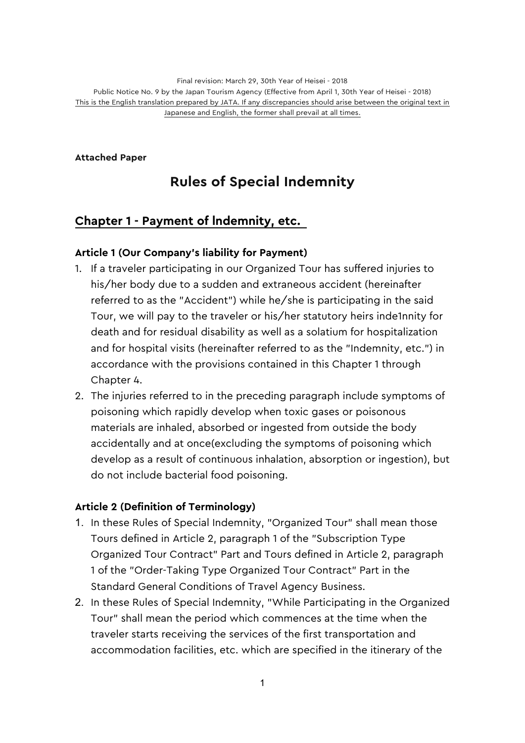Final revision: March 29, 30th Year of Heisei - 2018 Public Notice No. 9 by the Japan Tourism Agency (Effective from April 1, 30th Year of Heisei - 2018) This is the English translation prepared by JATA. If any discrepancies should arise between the original text in Japanese and English, the former shall prevail at all times.

**Attached Paper**

# **Rules of Special Indemnity**

# **Chapter 1 - Payment of lndemnity, etc.**

### **Article 1 (Our Company's liability for Payment)**

- 1. If a traveler participating in our Organized Tour has suffered injuries to his/her body due to a sudden and extraneous accident (hereinafter referred to as the "Accident") while he/she is participating in the said Tour, we will pay to the traveler or his/her statutory heirs inde1nnity for death and for residual disability as well as a solatium for hospitalization and for hospital visits (hereinafter referred to as the "Indemnity, etc.") in accordance with the provisions contained in this Chapter 1 through Chapter 4.
- 2. The injuries referred to in the preceding paragraph include symptoms of poisoning which rapidly develop when toxic gases or poisonous materials are inhaled, absorbed or ingested from outside the body accidentally and at once(excluding the symptoms of poisoning which develop as a result of continuous inhalation, absorption or ingestion), but do not include bacterial food poisoning.

### **Article 2 (Definition of Terminology)**

- 1. In these Rules of Special Indemnity, "Organized Tour" shall mean those Tours defined in Article 2, paragraph 1 of the "Subscription Type Organized Tour Contract" Part and Tours defined in Article 2, paragraph 1 of the "Order-Taking Type Organized Tour Contract" Part in the Standard General Conditions of Travel Agency Business.
- 2. In these Rules of Special Indemnity, "While Participating in the Organized Tour" shall mean the period which commences at the time when the traveler starts receiving the services of the first transportation and accommodation facilities, etc. which are specified in the itinerary of the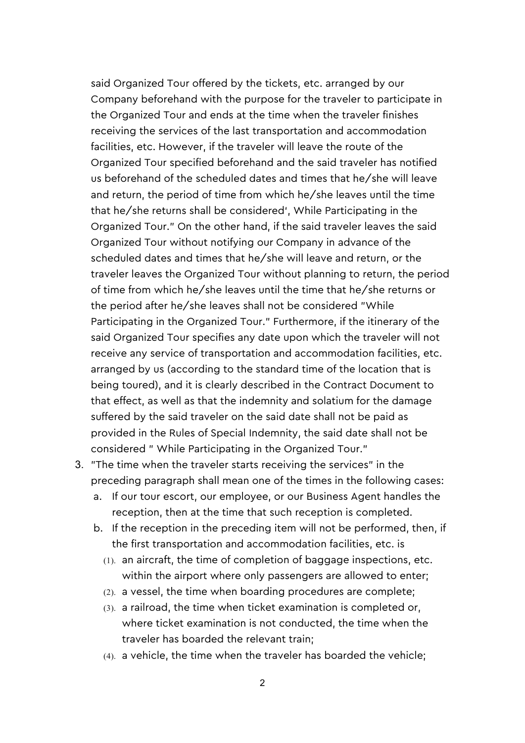said Organized Tour offered by the tickets, etc. arranged by our Company beforehand with the purpose for the traveler to participate in the Organized Tour and ends at the time when the traveler finishes receiving the services of the last transportation and accommodation facilities, etc. However, if the traveler will leave the route of the Organized Tour specified beforehand and the said traveler has notified us beforehand of the scheduled dates and times that he/she will leave and return, the period of time from which he/she leaves until the time that he/she returns shall be considered', While Participating in the Organized Tour." On the other hand, if the said traveler leaves the said Organized Tour without notifying our Company in advance of the scheduled dates and times that he/she will leave and return, or the traveler leaves the Organized Tour without planning to return, the period of time from which he/she leaves until the time that he/she returns or the period after he/she leaves shall not be considered "While Participating in the Organized Tour." Furthermore, if the itinerary of the said Organized Tour specifies any date upon which the traveler will not receive any service of transportation and accommodation facilities, etc. arranged by us (according to the standard time of the location that is being toured), and it is clearly described in the Contract Document to that effect, as well as that the indemnity and solatium for the damage suffered by the said traveler on the said date shall not be paid as provided in the Rules of Special Indemnity, the said date shall not be considered " While Participating in the Organized Tour."

- 3. "The time when the traveler starts receiving the services" in the preceding paragraph shall mean one of the times in the following cases:
	- a. If our tour escort, our employee, or our Business Agent handles the reception, then at the time that such reception is completed.
	- b. If the reception in the preceding item will not be performed, then, if the first transportation and accommodation facilities, etc. is
		- (1). an aircraft, the time of completion of baggage inspections, etc. within the airport where only passengers are allowed to enter;
		- (2). a vessel, the time when boarding procedures are complete;
		- (3). a railroad, the time when ticket examination is completed or, where ticket examination is not conducted, the time when the traveler has boarded the relevant train;
		- (4). a vehicle, the time when the traveler has boarded the vehicle;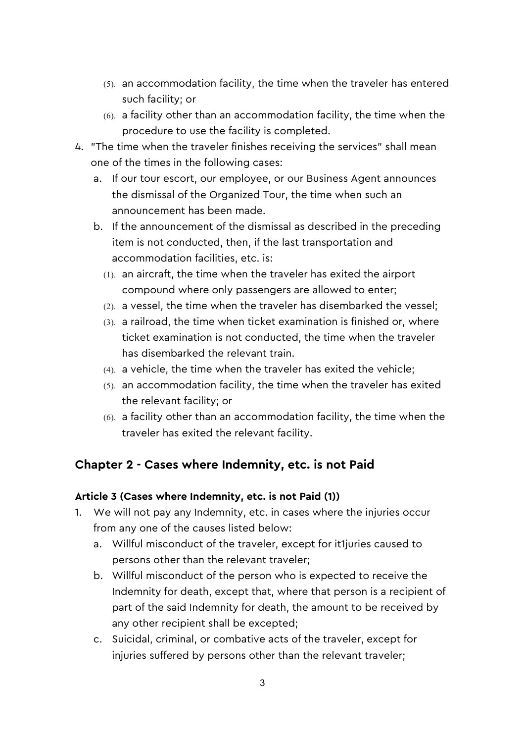- (5). an accommodation facility, the time when the traveler has entered such facility; or
- (6). a facility other than an accommodation facility, the time when the procedure to use the facility is completed.
- 4. "The time when the traveler finishes receiving the services" shall mean one of the times in the following cases:
	- a. If our tour escort, our employee, or our Business Agent announces the dismissal of the Organized Tour, the time when such an announcement has been made.
	- b. If the announcement of the dismissal as described in the preceding item is not conducted, then, if the last transportation and accommodation facilities, etc. is:
		- (1). an aircraft, the time when the traveler has exited the airport compound where only passengers are allowed to enter;
		- (2). a vessel, the time when the traveler has disembarked the vessel;
		- (3). a railroad, the time when ticket examination is finished or, where ticket examination is not conducted, the time when the traveler has disembarked the relevant train.
		- (4). a vehicle, the time when the traveler has exited the vehicle;
		- (5). an accommodation facility, the time when the traveler has exited the relevant facility; or
		- (6). a facility other than an accommodation facility, the time when the traveler has exited the relevant facility.

# **Chapter 2 - Cases where Indemnity, etc. is not Paid**

### **Article 3 (Cases where Indemnity, etc. is not Paid (1))**

- 1. We will not pay any Indemnity, etc. in cases where the injuries occur from any one of the causes listed below:
	- a. Willful misconduct of the traveler, except for it1juries caused to persons other than the relevant traveler;
	- b. Willful misconduct of the person who is expected to receive the Indemnity for death, except that, where that person is a recipient of part of the said Indemnity for death, the amount to be received by any other recipient shall be excepted;
	- c. Suicidal, criminal, or combative acts of the traveler, except for injuries suffered by persons other than the relevant traveler;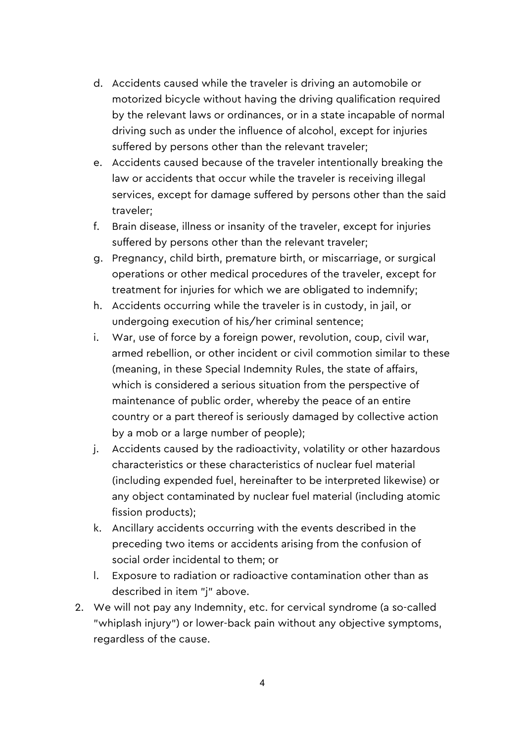- d. Accidents caused while the traveler is driving an automobile or motorized bicycle without having the driving qualification required by the relevant laws or ordinances, or in a state incapable of normal driving such as under the influence of alcohol, except for injuries suffered by persons other than the relevant traveler;
- e. Accidents caused because of the traveler intentionally breaking the law or accidents that occur while the traveler is receiving illegal services, except for damage suffered by persons other than the said traveler;
- f. Brain disease, illness or insanity of the traveler, except for injuries suffered by persons other than the relevant traveler;
- g. Pregnancy, child birth, premature birth, or miscarriage, or surgical operations or other medical procedures of the traveler, except for treatment for injuries for which we are obligated to indemnify;
- h. Accidents occurring while the traveler is in custody, in jail, or undergoing execution of his/her criminal sentence;
- i. War, use of force by a foreign power, revolution, coup, civil war, armed rebellion, or other incident or civil commotion similar to these (meaning, in these Special Indemnity Rules, the state of affairs, which is considered a serious situation from the perspective of maintenance of public order, whereby the peace of an entire country or a part thereof is seriously damaged by collective action by a mob or a large number of people);
- j. Accidents caused by the radioactivity, volatility or other hazardous characteristics or these characteristics of nuclear fuel material (including expended fuel, hereinafter to be interpreted likewise) or any object contaminated by nuclear fuel material (including atomic fission products);
- k. Ancillary accidents occurring with the events described in the preceding two items or accidents arising from the confusion of social order incidental to them; or
- l. Exposure to radiation or radioactive contamination other than as described in item "j" above.
- 2. We will not pay any Indemnity, etc. for cervical syndrome (a so-called "whiplash injury") or lower-back pain without any objective symptoms, regardless of the cause.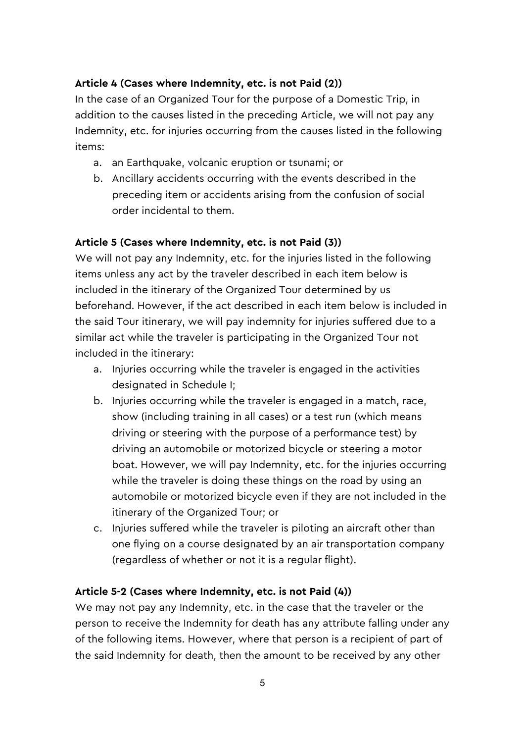### **Article 4 (Cases where Indemnity, etc. is not Paid (2))**

In the case of an Organized Tour for the purpose of a Domestic Trip, in addition to the causes listed in the preceding Article, we will not pay any Indemnity, etc. for injuries occurring from the causes listed in the following items:

- a. an Earthquake, volcanic eruption or tsunami; or
- b. Ancillary accidents occurring with the events described in the preceding item or accidents arising from the confusion of social order incidental to them.

### **Article 5 (Cases where Indemnity, etc. is not Paid (3))**

We will not pay any Indemnity, etc. for the injuries listed in the following items unless any act by the traveler described in each item below is included in the itinerary of the Organized Tour determined by us beforehand. However, if the act described in each item below is included in the said Tour itinerary, we will pay indemnity for injuries suffered due to a similar act while the traveler is participating in the Organized Tour not included in the itinerary:

- a. Injuries occurring while the traveler is engaged in the activities designated in Schedule I;
- b. Injuries occurring while the traveler is engaged in a match, race, show (including training in all cases) or a test run (which means driving or steering with the purpose of a performance test) by driving an automobile or motorized bicycle or steering a motor boat. However, we will pay Indemnity, etc. for the injuries occurring while the traveler is doing these things on the road by using an automobile or motorized bicycle even if they are not included in the itinerary of the Organized Tour; or
- c. Injuries suffered while the traveler is piloting an aircraft other than one flying on a course designated by an air transportation company (regardless of whether or not it is a regular flight).

### **Article 5-2 (Cases where Indemnity, etc. is not Paid (4))**

We may not pay any Indemnity, etc. in the case that the traveler or the person to receive the Indemnity for death has any attribute falling under any of the following items. However, where that person is a recipient of part of the said Indemnity for death, then the amount to be received by any other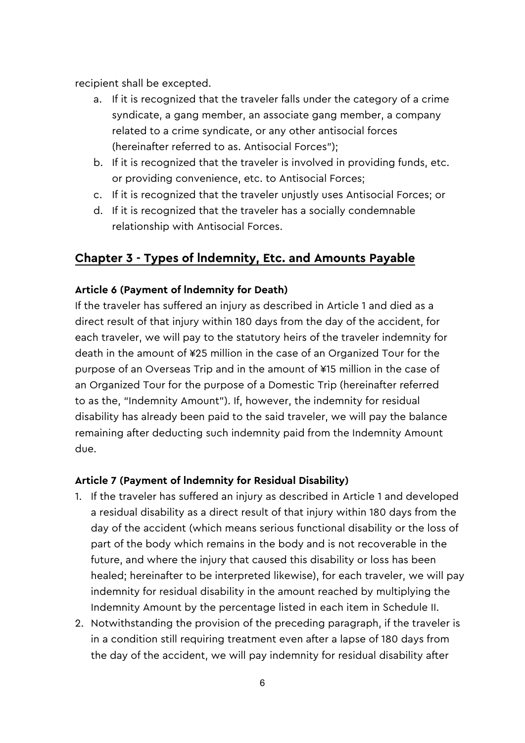recipient shall be excepted.

- a. If it is recognized that the traveler falls under the category of a crime syndicate, a gang member, an associate gang member, a company related to a crime syndicate, or any other antisocial forces (hereinafter referred to as. Antisocial Forces");
- b. If it is recognized that the traveler is involved in providing funds, etc. or providing convenience, etc. to Antisocial Forces;
- c. If it is recognized that the traveler unjustly uses Antisocial Forces; or
- d. If it is recognized that the traveler has a socially condemnable relationship with Antisocial Forces.

# **Chapter 3 - Types of lndemnity, Etc. and Amounts Payable**

### **Article 6 (Payment of lndemnity for Death)**

If the traveler has suffered an injury as described in Article 1 and died as a direct result of that injury within 180 days from the day of the accident, for each traveler, we will pay to the statutory heirs of the traveler indemnity for death in the amount of ¥25 million in the case of an Organized Tour for the purpose of an Overseas Trip and in the amount of ¥15 million in the case of an Organized Tour for the purpose of a Domestic Trip (hereinafter referred to as the, "Indemnity Amount"). If, however, the indemnity for residual disability has already been paid to the said traveler, we will pay the balance remaining after deducting such indemnity paid from the Indemnity Amount due.

#### **Article 7 (Payment of lndemnity for Residual Disability)**

- 1. If the traveler has suffered an injury as described in Article 1 and developed a residual disability as a direct result of that injury within 180 days from the day of the accident (which means serious functional disability or the loss of part of the body which remains in the body and is not recoverable in the future, and where the injury that caused this disability or loss has been healed; hereinafter to be interpreted likewise), for each traveler, we will pay indemnity for residual disability in the amount reached by multiplying the Indemnity Amount by the percentage listed in each item in Schedule II.
- 2. Notwithstanding the provision of the preceding paragraph, if the traveler is in a condition still requiring treatment even after a lapse of 180 days from the day of the accident, we will pay indemnity for residual disability after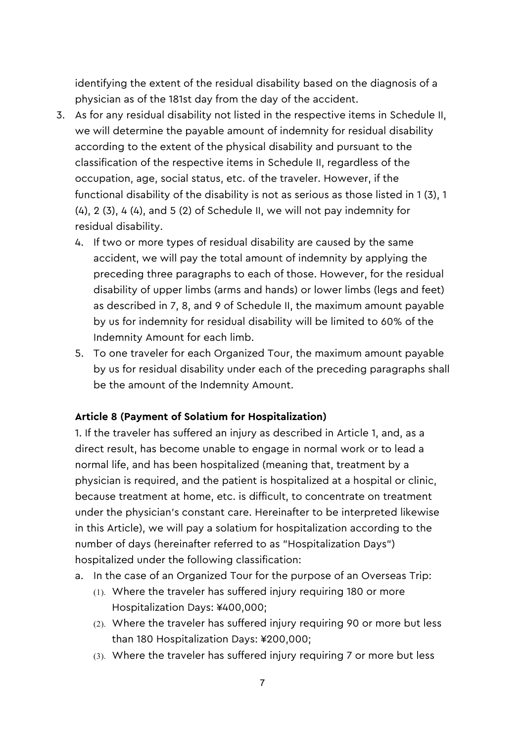identifying the extent of the residual disability based on the diagnosis of a physician as of the 181st day from the day of the accident.

- 3. As for any residual disability not listed in the respective items in Schedule II, we will determine the payable amount of indemnity for residual disability according to the extent of the physical disability and pursuant to the classification of the respective items in Schedule II, regardless of the occupation, age, social status, etc. of the traveler. However, if the functional disability of the disability is not as serious as those listed in 1 (3), 1 (4), 2 (3), 4 (4), and 5 (2) of Schedule II, we will not pay indemnity for residual disability.
	- 4. If two or more types of residual disability are caused by the same accident, we will pay the total amount of indemnity by applying the preceding three paragraphs to each of those. However, for the residual disability of upper limbs (arms and hands) or lower limbs (legs and feet) as described in 7, 8, and 9 of Schedule II, the maximum amount payable by us for indemnity for residual disability will be limited to 60% of the Indemnity Amount for each limb.
	- 5. To one traveler for each Organized Tour, the maximum amount payable by us for residual disability under each of the preceding paragraphs shall be the amount of the Indemnity Amount.

#### **Article 8 (Payment of Solatium for Hospitalization)**

1. If the traveler has suffered an injury as described in Article 1, and, as a direct result, has become unable to engage in normal work or to lead a normal life, and has been hospitalized (meaning that, treatment by a physician is required, and the patient is hospitalized at a hospital or clinic, because treatment at home, etc. is difficult, to concentrate on treatment under the physician's constant care. Hereinafter to be interpreted likewise in this Article), we will pay a solatium for hospitalization according to the number of days (hereinafter referred to as "Hospitalization Days") hospitalized under the following classification:

- a. In the case of an Organized Tour for the purpose of an Overseas Trip:
	- (1). Where the traveler has suffered injury requiring 180 or more Hospitalization Days: ¥400,000;
	- (2). Where the traveler has suffered injury requiring 90 or more but less than 180 Hospitalization Days: ¥200,000;
	- (3). Where the traveler has suffered injury requiring 7 or more but less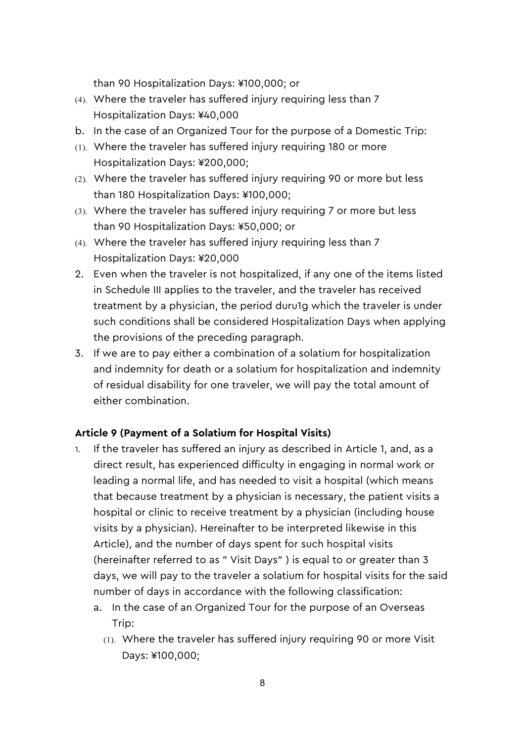than 90 Hospitalization Days: ¥100,000; or

- (4). Where the traveler has suffered injury requiring less than 7 Hospitalization Days: ¥40,000
- b. In the case of an Organized Tour for the purpose of a Domestic Trip:
- (1). Where the traveler has suffered injury requiring 180 or more Hospitalization Days: ¥200,000;
- (2). Where the traveler has suffered injury requiring 90 or more but less than 180 Hospitalization Days: ¥100,000;
- (3). Where the traveler has suffered injury requiring 7 or more but less than 90 Hospitalization Days: ¥50,000; or
- (4). Where the traveler has suffered injury requiring less than 7 Hospitalization Days: ¥20,000
- 2. Even when the traveler is not hospitalized, if any one of the items listed in Schedule III applies to the traveler, and the traveler has received treatment by a physician, the period duru1g which the traveler is under such conditions shall be considered Hospitalization Days when applying the provisions of the preceding paragraph.
- 3. If we are to pay either a combination of a solatium for hospitalization and indemnity for death or a solatium for hospitalization and indemnity of residual disability for one traveler, we will pay the total amount of either combination.

#### **Article 9 (Payment of a Solatium for Hospital Visits)**

- 1. If the traveler has suffered an injury as described in Article 1, and, as a direct result, has experienced difficulty in engaging in normal work or leading a normal life, and has needed to visit a hospital (which means that because treatment by a physician is necessary, the patient visits a hospital or clinic to receive treatment by a physician (including house visits by a physician). Hereinafter to be interpreted likewise in this Article), and the number of days spent for such hospital visits (hereinafter referred to as " Visit Days" ) is equal to or greater than 3 days, we will pay to the traveler a solatium for hospital visits for the said number of days in accordance with the following classification:
	- a. In the case of an Organized Tour for the purpose of an Overseas Trip:
		- (1). Where the traveler has suffered injury requiring 90 or more Visit Days: ¥100,000;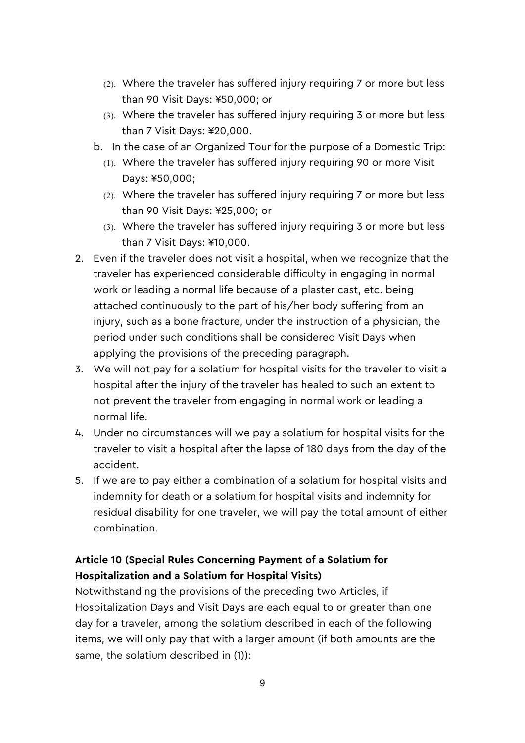- (2). Where the traveler has suffered injury requiring 7 or more but less than 90 Visit Days: ¥50,000; or
- (3). Where the traveler has suffered injury requiring 3 or more but less than 7 Visit Days: ¥20,000.
- b. In the case of an Organized Tour for the purpose of a Domestic Trip:
	- (1). Where the traveler has suffered injury requiring 90 or more Visit Days: ¥50,000;
	- (2). Where the traveler has suffered injury requiring 7 or more but less than 90 Visit Days: ¥25,000; or
	- (3). Where the traveler has suffered injury requiring 3 or more but less than 7 Visit Days: ¥10,000.
- 2. Even if the traveler does not visit a hospital, when we recognize that the traveler has experienced considerable difficulty in engaging in normal work or leading a normal life because of a plaster cast, etc. being attached continuously to the part of his/her body suffering from an injury, such as a bone fracture, under the instruction of a physician, the period under such conditions shall be considered Visit Days when applying the provisions of the preceding paragraph.
- 3. We will not pay for a solatium for hospital visits for the traveler to visit a hospital after the injury of the traveler has healed to such an extent to not prevent the traveler from engaging in normal work or leading a normal life.
- 4. Under no circumstances will we pay a solatium for hospital visits for the traveler to visit a hospital after the lapse of 180 days from the day of the accident.
- 5. If we are to pay either a combination of a solatium for hospital visits and indemnity for death or a solatium for hospital visits and indemnity for residual disability for one traveler, we will pay the total amount of either combination.

# **Article 10 (Special Rules Concerning Payment of a Solatium for Hospitalization and a Solatium for Hospital Visits)**

Notwithstanding the provisions of the preceding two Articles, if Hospitalization Days and Visit Days are each equal to or greater than one day for a traveler, among the solatium described in each of the following items, we will only pay that with a larger amount (if both amounts are the same, the solatium described in (1)):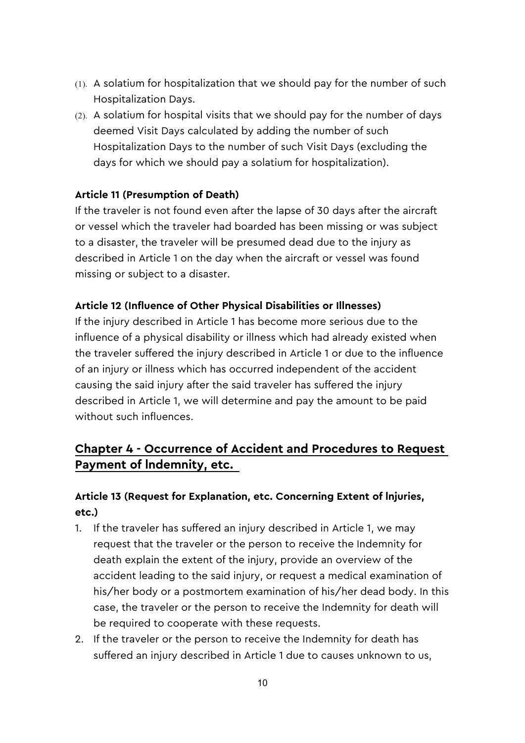- (1). A solatium for hospitalization that we should pay for the number of such Hospitalization Days.
- (2). A solatium for hospital visits that we should pay for the number of days deemed Visit Days calculated by adding the number of such Hospitalization Days to the number of such Visit Days (excluding the days for which we should pay a solatium for hospitalization).

### **Article 11 (Presumption of Death)**

If the traveler is not found even after the lapse of 30 days after the aircraft or vessel which the traveler had boarded has been missing or was subject to a disaster, the traveler will be presumed dead due to the injury as described in Article 1 on the day when the aircraft or vessel was found missing or subject to a disaster.

#### **Article 12 (Influence of Other Physical Disabilities or Illnesses)**

If the injury described in Article 1 has become more serious due to the influence of a physical disability or illness which had already existed when the traveler suffered the injury described in Article 1 or due to the influence of an injury or illness which has occurred independent of the accident causing the said injury after the said traveler has suffered the injury described in Article 1, we will determine and pay the amount to be paid without such influences.

# **Chapter 4 - Occurrence of Accident and Procedures to Request Payment of lndemnity, etc.**

### **Article 13 (Request for Explanation, etc. Concerning Extent of lnjuries, etc.)**

- 1. If the traveler has suffered an injury described in Article 1, we may request that the traveler or the person to receive the Indemnity for death explain the extent of the injury, provide an overview of the accident leading to the said injury, or request a medical examination of his/her body or a postmortem examination of his/her dead body. In this case, the traveler or the person to receive the Indemnity for death will be required to cooperate with these requests.
- 2. If the traveler or the person to receive the Indemnity for death has suffered an injury described in Article 1 due to causes unknown to us,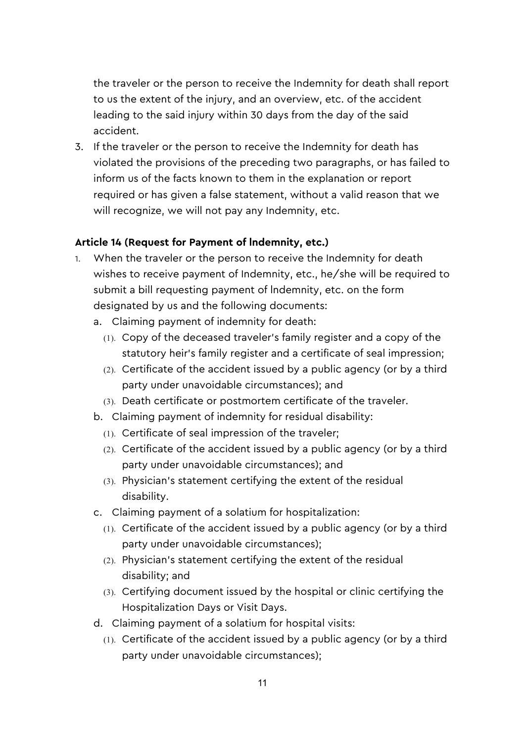the traveler or the person to receive the Indemnity for death shall report to us the extent of the injury, and an overview, etc. of the accident leading to the said injury within 30 days from the day of the said accident.

3. If the traveler or the person to receive the Indemnity for death has violated the provisions of the preceding two paragraphs, or has failed to inform us of the facts known to them in the explanation or report required or has given a false statement, without a valid reason that we will recognize, we will not pay any Indemnity, etc.

### **Article 14 (Request for Payment of lndemnity, etc.)**

- 1. When the traveler or the person to receive the Indemnity for death wishes to receive payment of Indemnity, etc., he/she will be required to submit a bill requesting payment of lndemnity, etc. on the form designated by us and the following documents:
	- a. Claiming payment of indemnity for death:
		- (1). Copy of the deceased traveler's family register and a copy of the statutory heir's family register and a certificate of seal impression;
		- (2). Certificate of the accident issued by a public agency (or by a third party under unavoidable circumstances); and
		- (3). Death certificate or postmortem certificate of the traveler.
	- b. Claiming payment of indemnity for residual disability:
		- (1). Certificate of seal impression of the traveler;
		- (2). Certificate of the accident issued by a public agency (or by a third party under unavoidable circumstances); and
		- (3). Physician's statement certifying the extent of the residual disability.
	- c. Claiming payment of a solatium for hospitalization:
		- (1). Certificate of the accident issued by a public agency (or by a third party under unavoidable circumstances);
		- (2). Physician's statement certifying the extent of the residual disability; and
		- (3). Certifying document issued by the hospital or clinic certifying the Hospitalization Days or Visit Days.
	- d. Claiming payment of a solatium for hospital visits:
		- (1). Certificate of the accident issued by a public agency (or by a third party under unavoidable circumstances);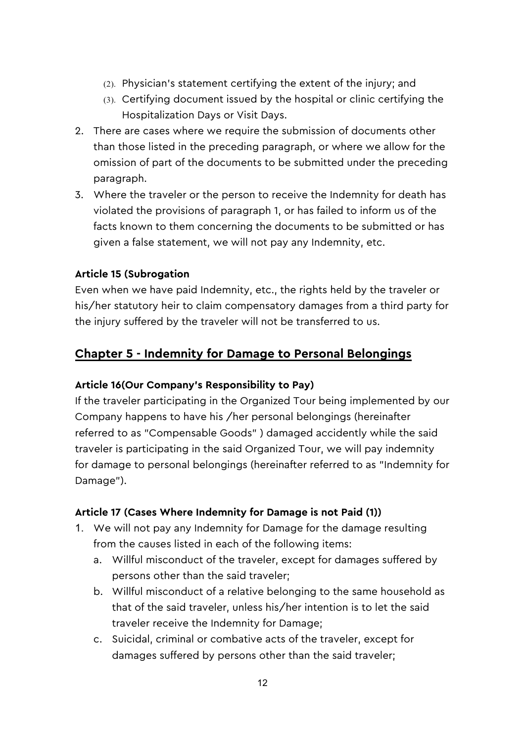- (2). Physician's statement certifying the extent of the injury; and
- (3). Certifying document issued by the hospital or clinic certifying the Hospitalization Days or Visit Days.
- 2. There are cases where we require the submission of documents other than those listed in the preceding paragraph, or where we allow for the omission of part of the documents to be submitted under the preceding paragraph.
- 3. Where the traveler or the person to receive the Indemnity for death has violated the provisions of paragraph 1, or has failed to inform us of the facts known to them concerning the documents to be submitted or has given a false statement, we will not pay any Indemnity, etc.

### **Article 15 (Subrogation**

Even when we have paid Indemnity, etc., the rights held by the traveler or his/her statutory heir to claim compensatory damages from a third party for the injury suffered by the traveler will not be transferred to us.

# **Chapter 5 - Indemnity for Damage to Personal Belongings**

### **Article 16(Our Company's Responsibility to Pay)**

If the traveler participating in the Organized Tour being implemented by our Company happens to have his /her personal belongings (hereinafter referred to as "Compensable Goods" ) damaged accidently while the said traveler is participating in the said Organized Tour, we will pay indemnity for damage to personal belongings (hereinafter referred to as "Indemnity for Damage").

### **Article 17 (Cases Where Indemnity for Damage is not Paid (1))**

- 1. We will not pay any Indemnity for Damage for the damage resulting from the causes listed in each of the following items:
	- a. Willful misconduct of the traveler, except for damages suffered by persons other than the said traveler;
	- b. Willful misconduct of a relative belonging to the same household as that of the said traveler, unless his/her intention is to let the said traveler receive the Indemnity for Damage;
	- c. Suicidal, criminal or combative acts of the traveler, except for damages suffered by persons other than the said traveler;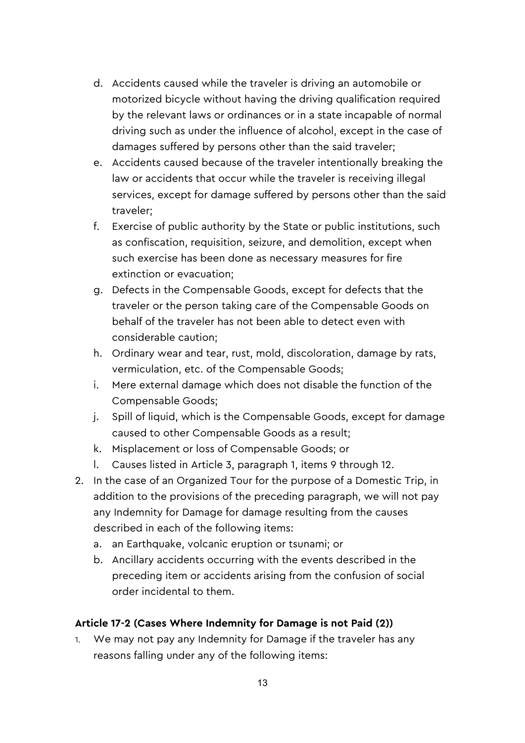- d. Accidents caused while the traveler is driving an automobile or motorized bicycle without having the driving qualification required by the relevant laws or ordinances or in a state incapable of normal driving such as under the influence of alcohol, except in the case of damages suffered by persons other than the said traveler;
- e. Accidents caused because of the traveler intentionally breaking the law or accidents that occur while the traveler is receiving illegal services, except for damage suffered by persons other than the said traveler;
- f. Exercise of public authority by the State or public institutions, such as confiscation, requisition, seizure, and demolition, except when such exercise has been done as necessary measures for fire extinction or evacuation;
- g. Defects in the Compensable Goods, except for defects that the traveler or the person taking care of the Compensable Goods on behalf of the traveler has not been able to detect even with considerable caution;
- h. Ordinary wear and tear, rust, mold, discoloration, damage by rats, vermiculation, etc. of the Compensable Goods;
- i. Mere external damage which does not disable the function of the Compensable Goods;
- j. Spill of liquid, which is the Compensable Goods, except for damage caused to other Compensable Goods as a result;
- k. Misplacement or loss of Compensable Goods; or
- l. Causes listed in Article 3, paragraph 1, items 9 through 12.
- 2. In the case of an Organized Tour for the purpose of a Domestic Trip, in addition to the provisions of the preceding paragraph, we will not pay any Indemnity for Damage for damage resulting from the causes described in each of the following items:
	- a. an Earthquake, volcanic eruption or tsunami; or
	- b. Ancillary accidents occurring with the events described in the preceding item or accidents arising from the confusion of social order incidental to them.

#### **Article 17-2 (Cases Where Indemnity for Damage is not Paid (2))**

1. We may not pay any Indemnity for Damage if the traveler has any reasons falling under any of the following items: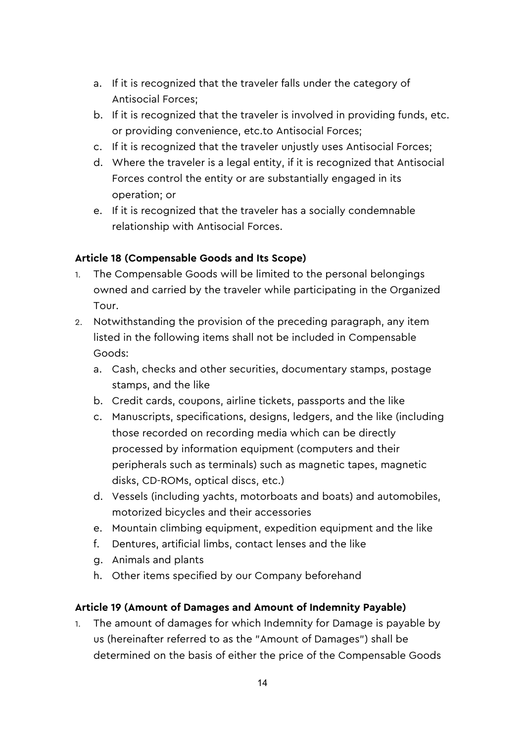- a. If it is recognized that the traveler falls under the category of Antisocial Forces;
- b. If it is recognized that the traveler is involved in providing funds, etc. or providing convenience, etc.to Antisocial Forces;
- c. If it is recognized that the traveler unjustly uses Antisocial Forces;
- d. Where the traveler is a legal entity, if it is recognized that Antisocial Forces control the entity or are substantially engaged in its operation; or
- e. If it is recognized that the traveler has a socially condemnable relationship with Antisocial Forces.

### **Article 18 (Compensable Goods and Its Scope)**

- 1. The Compensable Goods will be limited to the personal belongings owned and carried by the traveler while participating in the Organized Tour.
- 2. Notwithstanding the provision of the preceding paragraph, any item listed in the following items shall not be included in Compensable Goods:
	- a. Cash, checks and other securities, documentary stamps, postage stamps, and the like
	- b. Credit cards, coupons, airline tickets, passports and the like
	- c. Manuscripts, specifications, designs, ledgers, and the like (including those recorded on recording media which can be directly processed by information equipment (computers and their peripherals such as terminals) such as magnetic tapes, magnetic disks, CD-ROMs, optical discs, etc.)
	- d. Vessels (including yachts, motorboats and boats) and automobiles, motorized bicycles and their accessories
	- e. Mountain climbing equipment, expedition equipment and the like
	- f. Dentures, artificial limbs, contact lenses and the like
	- g. Animals and plants
	- h. Other items specified by our Company beforehand

### **Article 19 (Amount of Damages and Amount of Indemnity Payable)**

1. The amount of damages for which Indemnity for Damage is payable by us (hereinafter referred to as the "Amount of Damages") shall be determined on the basis of either the price of the Compensable Goods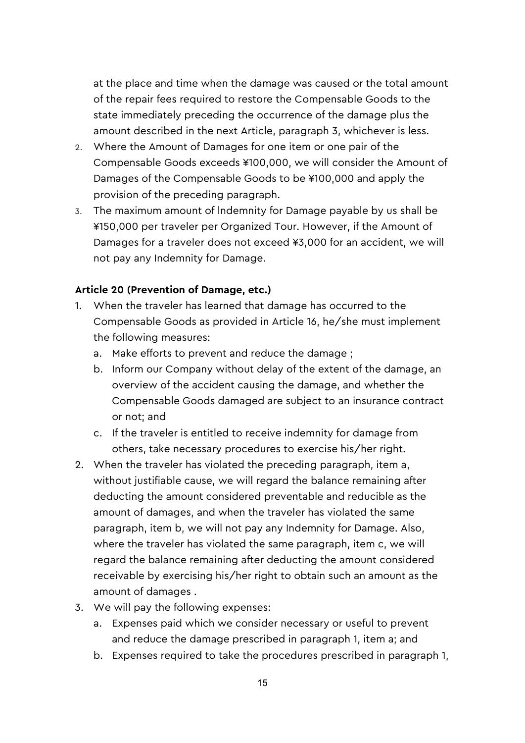at the place and time when the damage was caused or the total amount of the repair fees required to restore the Compensable Goods to the state immediately preceding the occurrence of the damage plus the amount described in the next Article, paragraph 3, whichever is less.

- 2. Where the Amount of Damages for one item or one pair of the Compensable Goods exceeds ¥100,000, we will consider the Amount of Damages of the Compensable Goods to be ¥100,000 and apply the provision of the preceding paragraph.
- 3. The maximum amount of lndemnity for Damage payable by us shall be ¥150,000 per traveler per Organized Tour. However, if the Amount of Damages for a traveler does not exceed ¥3,000 for an accident, we will not pay any Indemnity for Damage.

### **Article 20 (Prevention of Damage, etc.)**

- 1. When the traveler has learned that damage has occurred to the Compensable Goods as provided in Article 16, he/she must implement the following measures:
	- a. Make efforts to prevent and reduce the damage ;
	- b. Inform our Company without delay of the extent of the damage, an overview of the accident causing the damage, and whether the Compensable Goods damaged are subject to an insurance contract or not; and
	- c. If the traveler is entitled to receive indemnity for damage from others, take necessary procedures to exercise his/her right.
- 2. When the traveler has violated the preceding paragraph, item a, without justifiable cause, we will regard the balance remaining after deducting the amount considered preventable and reducible as the amount of damages, and when the traveler has violated the same paragraph, item b, we will not pay any Indemnity for Damage. Also, where the traveler has violated the same paragraph, item c, we will regard the balance remaining after deducting the amount considered receivable by exercising his/her right to obtain such an amount as the amount of damages .
- 3. We will pay the following expenses:
	- a. Expenses paid which we consider necessary or useful to prevent and reduce the damage prescribed in paragraph 1, item a; and
	- b. Expenses required to take the procedures prescribed in paragraph 1,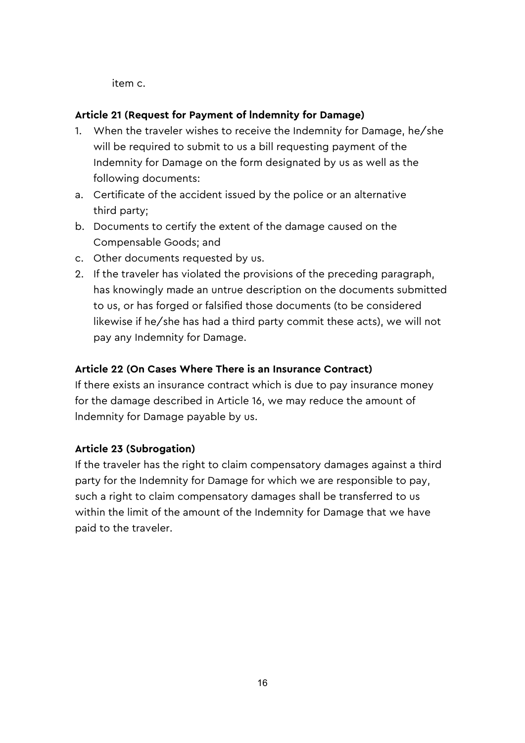item c.

### **Article 21 (Request for Payment of lndemnity for Damage)**

- 1. When the traveler wishes to receive the Indemnity for Damage, he/she will be required to submit to us a bill requesting payment of the Indemnity for Damage on the form designated by us as well as the following documents:
- a. Certificate of the accident issued by the police or an alternative third party;
- b. Documents to certify the extent of the damage caused on the Compensable Goods; and
- c. Other documents requested by us.
- 2. If the traveler has violated the provisions of the preceding paragraph, has knowingly made an untrue description on the documents submitted to us, or has forged or falsified those documents (to be considered likewise if he/she has had a third party commit these acts), we will not pay any Indemnity for Damage.

### **Article 22 (On Cases Where There is an Insurance Contract)**

If there exists an insurance contract which is due to pay insurance money for the damage described in Article 16, we may reduce the amount of lndemnity for Damage payable by us.

### **Article 23 (Subrogation)**

If the traveler has the right to claim compensatory damages against a third party for the Indemnity for Damage for which we are responsible to pay, such a right to claim compensatory damages shall be transferred to us within the limit of the amount of the Indemnity for Damage that we have paid to the traveler.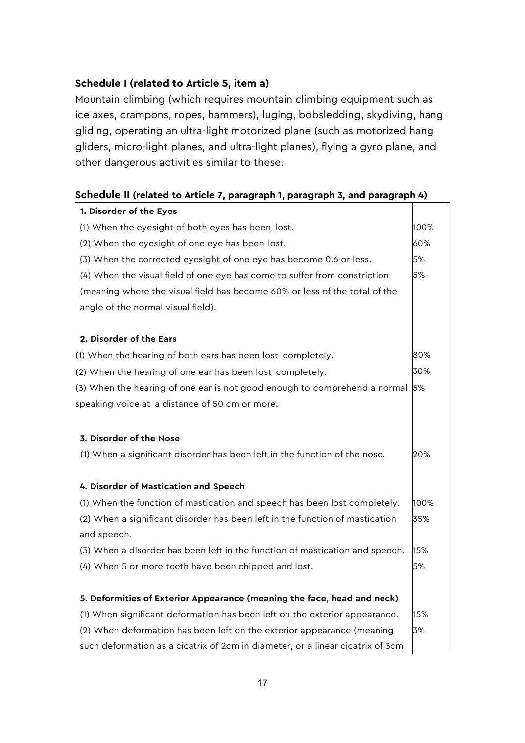### **Schedule I (related to Article 5, item a)**

Mountain climbing (which requires mountain climbing equipment such as ice axes, crampons, ropes, hammers), luging, bobsledding, skydiving, hang gliding, operating an ultra-light motorized plane (such as motorized hang gliders, micro-light planes, and ultra-light planes), flying a gyro plane, and other dangerous activities similar to these.

### **Schedule II (related to Article 7, paragraph 1, paragraph 3, and paragraph 4)**

| 1. Disorder of the Eyes                                                        |      |
|--------------------------------------------------------------------------------|------|
| (1) When the eyesight of both eyes has been lost.                              | 100% |
| (2) When the eyesight of one eye has been lost.                                | 60%  |
| (3) When the corrected eyesight of one eye has become 0.6 or less.             | 5%   |
| (4) When the visual field of one eye has come to suffer from constriction      | 5%   |
| (meaning where the visual field has become 60% or less of the total of the     |      |
| angle of the normal visual field).                                             |      |
| 2. Disorder of the Ears                                                        |      |
| (1) When the hearing of both ears has been lost completely.                    | 80%  |
| (2) When the hearing of one ear has been lost completely.                      | 30%  |
| (3) When the hearing of one ear is not good enough to comprehend a normal      | 5%   |
| speaking voice at a distance of 50 cm or more.                                 |      |
| 3. Disorder of the Nose                                                        |      |
| (1) When a significant disorder has been left in the function of the nose.     | 20%  |
| 4. Disorder of Mastication and Speech                                          |      |
| (1) When the function of mastication and speech has been lost completely.      | 100% |
| (2) When a significant disorder has been left in the function of mastication   | 35%  |
| and speech.                                                                    |      |
| (3) When a disorder has been left in the function of mastication and speech.   | 15%  |
| (4) When 5 or more teeth have been chipped and lost.                           | 5%   |
| 5. Deformities of Exterior Appearance (meaning the face, head and neck)        |      |
| (1) When significant deformation has been left on the exterior appearance.     | 15%  |
| (2) When deformation has been left on the exterior appearance (meaning         | 3%   |
| such deformation as a cicatrix of 2cm in diameter, or a linear cicatrix of 3cm |      |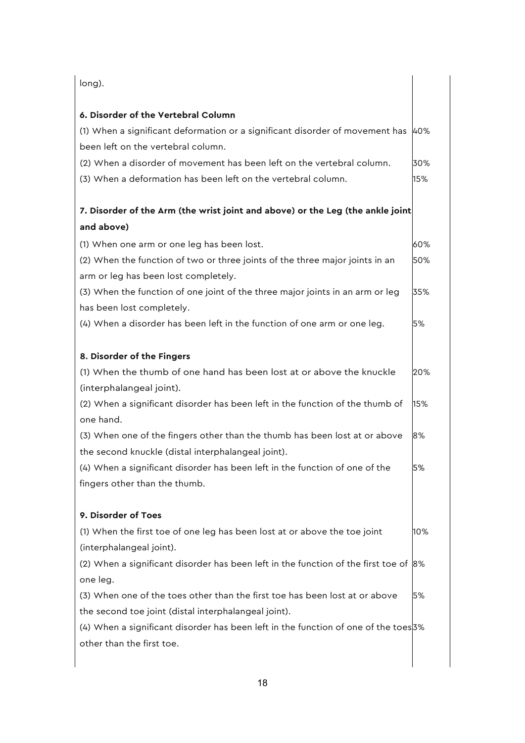| long).                                                                                                                              |     |
|-------------------------------------------------------------------------------------------------------------------------------------|-----|
| 6. Disorder of the Vertebral Column                                                                                                 |     |
| (1) When a significant deformation or a significant disorder of movement has                                                        | 40% |
| been left on the vertebral column.                                                                                                  |     |
| (2) When a disorder of movement has been left on the vertebral column.                                                              | 30% |
| (3) When a deformation has been left on the vertebral column.                                                                       | 15% |
| 7. Disorder of the Arm (the wrist joint and above) or the Leg (the ankle joint                                                      |     |
| and above)                                                                                                                          |     |
| (1) When one arm or one leg has been lost.                                                                                          | 60% |
| (2) When the function of two or three joints of the three major joints in an<br>arm or leg has been lost completely.                | 50% |
| (3) When the function of one joint of the three major joints in an arm or leg<br>has been lost completely.                          | 35% |
| (4) When a disorder has been left in the function of one arm or one leg.                                                            | 5%  |
| 8. Disorder of the Fingers                                                                                                          |     |
| (1) When the thumb of one hand has been lost at or above the knuckle<br>(interphalangeal joint).                                    | 20% |
| (2) When a significant disorder has been left in the function of the thumb of<br>one hand.                                          | 15% |
| (3) When one of the fingers other than the thumb has been lost at or above<br>the second knuckle (distal interphalangeal joint).    | 8%  |
| (4) When a significant disorder has been left in the function of one of the<br>fingers other than the thumb.                        | 5%  |
| 9. Disorder of Toes                                                                                                                 |     |
| (1) When the first toe of one leg has been lost at or above the toe joint                                                           | 10% |
| (interphalangeal joint).                                                                                                            |     |
| (2) When a significant disorder has been left in the function of the first toe of $ 8\%$<br>one leg.                                |     |
| (3) When one of the toes other than the first toe has been lost at or above<br>the second toe joint (distal interphalangeal joint). | 5%  |
| (4) When a significant disorder has been left in the function of one of the toes 3%<br>other than the first toe.                    |     |
|                                                                                                                                     |     |